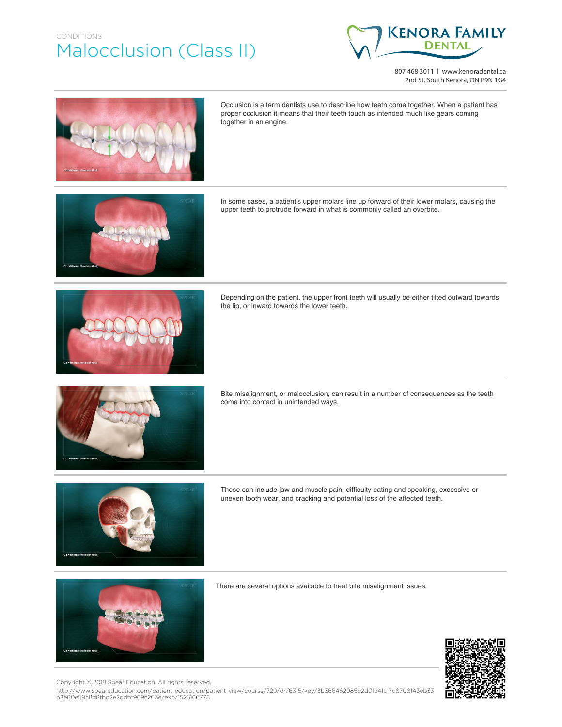## CONDITIONS Malocclusion (Class II)



807 468 3011 | www.kenoradental.ca 2nd St. South Kenora, ON P9N 1G4



Occlusion is a term dentists use to describe how teeth come together. When a patient has proper occlusion it means that their teeth touch as intended much like gears coming together in an engine.

In some cases, a patient's upper molars line up forward of their lower molars, causing the upper teeth to protrude forward in what is commonly called an overbite.



Depending on the patient, the upper front teeth will usually be either tilted outward towards the lip, or inward towards the lower teeth.



Bite misalignment, or malocclusion, can result in a number of consequences as the teeth come into contact in unintended ways.



These can include jaw and muscle pain, difficulty eating and speaking, excessive or uneven tooth wear, and cracking and potential loss of the affected teeth.



There are several options available to treat bite misalignment issues.



http://www.speareducation.com/patient-education/patient-view/course/729/dr/6315/key/3b36646298592d01a41c17d8708143eb33 b8e80e59c8d8fbd2e2ddbf969c263e/exp/1525166778 Copyright © 2018 Spear Education. All rights reserved.